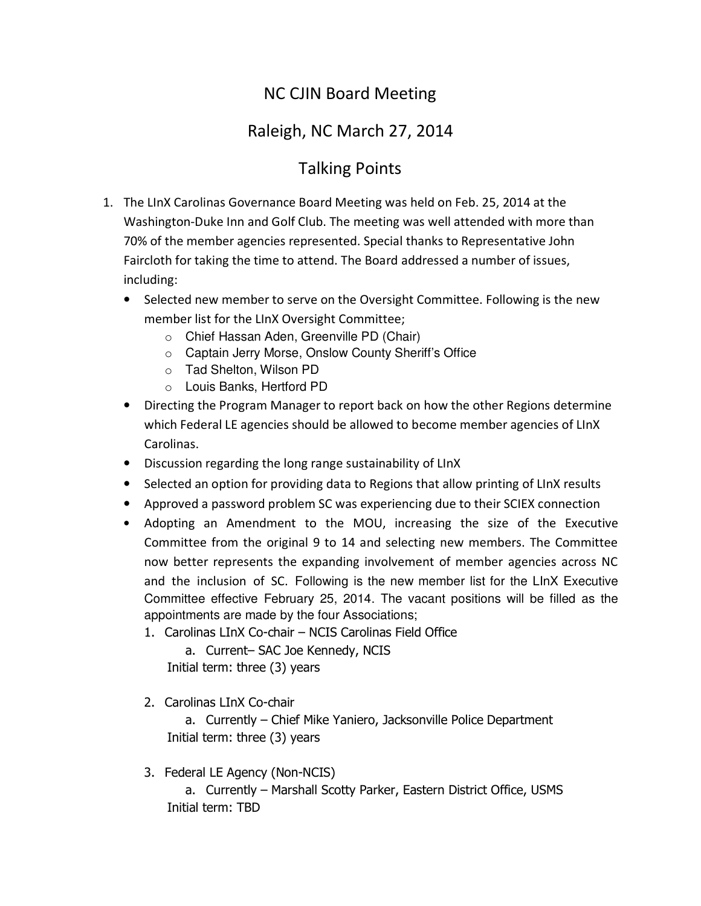## NC CJIN Board Meeting

## Raleigh, NC March 27, 2014

## Talking Points

- 1. The LInX Carolinas Governance Board Meeting was held on Feb. 25, 2014 at the Washington-Duke Inn and Golf Club. The meeting was well attended with more than 70% of the member agencies represented. Special thanks to Representative John Faircloth for taking the time to attend. The Board addressed a number of issues, including:
	- Selected new member to serve on the Oversight Committee. Following is the new member list for the LInX Oversight Committee;
		- o Chief Hassan Aden, Greenville PD (Chair)
		- o Captain Jerry Morse, Onslow County Sheriff's Office
		- o Tad Shelton, Wilson PD
		- o Louis Banks, Hertford PD
	- Directing the Program Manager to report back on how the other Regions determine which Federal LE agencies should be allowed to become member agencies of LInX Carolinas.
	- Discussion regarding the long range sustainability of LInX
	- Selected an option for providing data to Regions that allow printing of LInX results
	- Approved a password problem SC was experiencing due to their SCIEX connection
	- Adopting an Amendment to the MOU, increasing the size of the Executive Committee from the original 9 to 14 and selecting new members. The Committee now better represents the expanding involvement of member agencies across NC and the inclusion of SC. Following is the new member list for the LInX Executive Committee effective February 25, 2014. The vacant positions will be filled as the appointments are made by the four Associations;
		- 1. Carolinas LInX Co-chair NCIS Carolinas Field Office

a. Current– SAC Joe Kennedy, NCIS Initial term: three (3) years

2. Carolinas LInX Co-chair

a. Currently – Chief Mike Yaniero, Jacksonville Police Department Initial term: three (3) years

3. Federal LE Agency (Non-NCIS) a. Currently – Marshall Scotty Parker, Eastern District Office, USMS Initial term: TBD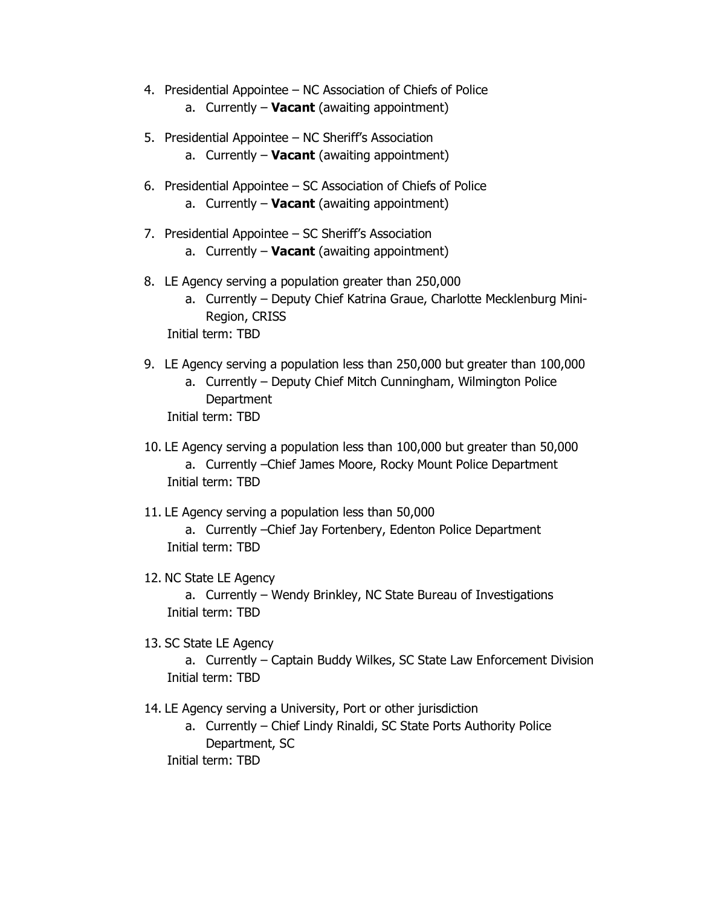- 4. Presidential Appointee NC Association of Chiefs of Police a. Currently – **Vacant** (awaiting appointment)
- 5. Presidential Appointee NC Sheriff's Association
	- a. Currently **Vacant** (awaiting appointment)
- 6. Presidential Appointee SC Association of Chiefs of Police a. Currently – **Vacant** (awaiting appointment)
- 7. Presidential Appointee SC Sheriff's Association a. Currently – **Vacant** (awaiting appointment)
- 8. LE Agency serving a population greater than 250,000
	- a. Currently Deputy Chief Katrina Graue, Charlotte Mecklenburg Mini-Region, CRISS

Initial term: TBD

- 9. LE Agency serving a population less than 250,000 but greater than 100,000
	- a. Currently Deputy Chief Mitch Cunningham, Wilmington Police **Department**

Initial term: TBD

10. LE Agency serving a population less than 100,000 but greater than 50,000 a. Currently –Chief James Moore, Rocky Mount Police Department Initial term: TBD

11. LE Agency serving a population less than 50,000

a. Currently –Chief Jay Fortenbery, Edenton Police Department Initial term: TBD

12. NC State LE Agency

a. Currently – Wendy Brinkley, NC State Bureau of Investigations Initial term: TBD

13. SC State LE Agency

a. Currently – Captain Buddy Wilkes, SC State Law Enforcement Division Initial term: TBD

- 14. LE Agency serving a University, Port or other jurisdiction
	- a. Currently Chief Lindy Rinaldi, SC State Ports Authority Police Department, SC

Initial term: TBD